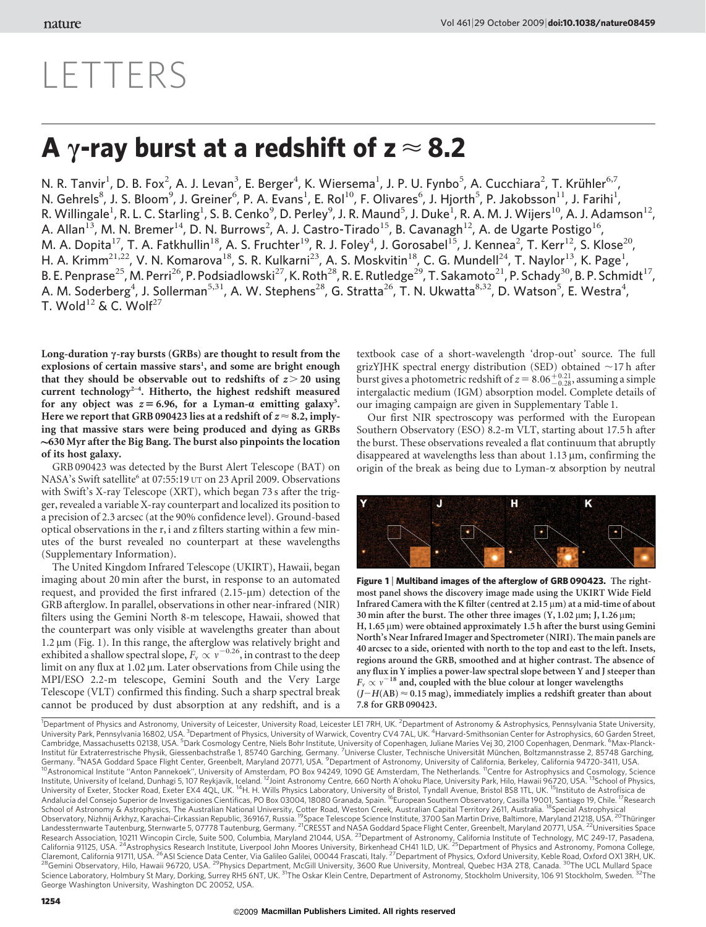## LETTERS

## A y-ray burst at a redshift of  $z \approx 8.2$

N. R. Tanvir<sup>1</sup>, D. B. Fox<sup>2</sup>, A. J. Levan<sup>3</sup>, E. Berger<sup>4</sup>, K. Wiersema<sup>1</sup>, J. P. U. Fynbo<sup>5</sup>, A. Cucchiara<sup>2</sup>, T. Krühler<sup>6,7</sup>, N. Gehrels<sup>8</sup>, J. S. Bloom<sup>9</sup>, J. Greiner<sup>6</sup>, P. A. Evans<sup>1</sup>, E. Rol<sup>10</sup>, F. Olivares<sup>6</sup>, J. Hjorth<sup>5</sup>, P. Jakobsson<sup>11</sup>, J. Farihi<sup>1</sup>, R. Willingale<sup>1</sup>, R. L. C. Starling<sup>1</sup>, S. B. Cenko<sup>9</sup>, D. Perley<sup>9</sup>, J. R. Maund<sup>5</sup>, J. Duke<sup>1</sup>, R. A. M. J. Wijers<sup>10</sup>, A. J. Adamson<sup>12</sup>, A. Allan<sup>13</sup>, M. N. Bremer<sup>14</sup>, D. N. Burrows<sup>2</sup>, A. J. Castro-Tirado<sup>15</sup>, B. Cavanagh<sup>12</sup>, A. de Ugarte Postigo<sup>16</sup>, M. A. Dopita<sup>17</sup>, T. A. Fatkhullin<sup>18</sup>, A. S. Fruchter<sup>19</sup>, R. J. Foley<sup>4</sup>, J. Gorosabel<sup>15</sup>, J. Kennea<sup>2</sup>, T. Kerr<sup>12</sup>, S. Klose<sup>20</sup>, H. A. Krimm<sup>21,22</sup>, V. N. Komarova<sup>18</sup>, S. R. Kulkarni<sup>23</sup>, A. S. Moskvitin<sup>18</sup>, C. G. Mundell<sup>24</sup>, T. Naylor<sup>13</sup>, K. Page<sup>1</sup>, B. E. Penprase<sup>25</sup>, M. Perri<sup>26</sup>, P. Podsiadlowski<sup>27</sup>, K. Roth<sup>28</sup>, R. E. Rutledge<sup>29</sup>, T. Sakamoto<sup>21</sup>, P. Schady<sup>30</sup>, B. P. Schmidt<sup>17</sup>, A. M. Soderberg<sup>4</sup>, J. Sollerman<sup>5,31</sup>, A. W. Stephens<sup>28</sup>, G. Stratta<sup>26</sup>, T. N. Ukwatta<sup>8,32</sup>, D. Watson<sup>5</sup>, E. Westra<sup>4</sup>, T. Wold<sup>12</sup> & C. Wolf<sup>27</sup>

Long-duration  $\gamma$ -ray bursts (GRBs) are thought to result from the explosions of certain massive stars<sup>1</sup>, and some are bright enough that they should be observable out to redshifts of  $z > 20$  using current technology<sup>2-4</sup>. Hitherto, the highest redshift measured for any object was  $z = 6.96$ , for a Lyman- $\alpha$  emitting galaxy<sup>5</sup>. Here we report that GRB 090423 lies at a redshift of  $z \approx 8.2$ , implying that massive stars were being produced and dying as GRBs  $\sim$  630 Myr after the Big Bang. The burst also pinpoints the location of its host galaxy.

GRB 090423 was detected by the Burst Alert Telescope (BAT) on NASA's Swift satellite<sup>6</sup> at 07:55:19 UT on 23 April 2009. Observations with Swift's X-ray Telescope (XRT), which began 73 s after the trigger, revealed a variable X-ray counterpart and localized its position to a precision of 2.3 arcsec (at the 90% confidence level). Ground-based optical observations in the r, i and z filters starting within a few minutes of the burst revealed no counterpart at these wavelengths (Supplementary Information).

The United Kingdom Infrared Telescope (UKIRT), Hawaii, began imaging about 20 min after the burst, in response to an automated request, and provided the first infrared  $(2.15 \text{-} \mu \text{m})$  detection of the GRB afterglow. In parallel, observations in other near-infrared (NIR) filters using the Gemini North 8-m telescope, Hawaii, showed that the counterpart was only visible at wavelengths greater than about  $1.2 \mu m$  (Fig. 1). In this range, the afterglow was relatively bright and exhibited a shallow spectral slope,  $F_v \propto v^{-0.26}$ , in contrast to the deep limit on any flux at  $1.02 \mu m$ . Later observations from Chile using the MPI/ESO 2.2-m telescope, Gemini South and the Very Large Telescope (VLT) confirmed this finding. Such a sharp spectral break cannot be produced by dust absorption at any redshift, and is a textbook case of a short-wavelength 'drop-out' source. The full grizYJHK spectral energy distribution (SED) obtained  $\sim$ 17 h after burst gives a photometric redshift of  $z = 8.06\substack{+0.21 \\ -0.28}$ , assuming a simple intergalactic medium (IGM) absorption model. Complete details of our imaging campaign are given in Supplementary Table 1.

Our first NIR spectroscopy was performed with the European Southern Observatory (ESO) 8.2-m VLT, starting about 17.5 h after the burst. These observations revealed a flat continuum that abruptly disappeared at wavelengths less than about  $1.13 \,\mu m$ , confirming the origin of the break as being due to Lyman- $\alpha$  absorption by neutral



Figure 1 | Multiband images of the afterglow of GRB 090423. The rightmost panel shows the discovery image made using the UKIRT Wide Field Infrared Camera with the K filter (centred at  $2.15 \,\mu m$ ) at a mid-time of about 30 min after the burst. The other three images  $(Y, 1.02 \mu m; J, 1.26 \mu m; J)$ H,  $1.65 \,\mu$ m) were obtained approximately 1.5 h after the burst using Gemini North's Near Infrared Imager and Spectrometer (NIRI). The main panels are 40 arcsec to a side, oriented with north to the top and east to the left. Insets, regions around the GRB, smoothed and at higher contrast. The absence of any flux in Y implies a power-law spectral slope between Y and J steeper than  $F_v \propto v^{-18}$  and, coupled with the blue colour at longer wavelengths  $(J-H(AB) \approx 0.15$  mag), immediately implies a redshift greater than about 7.8 for GRB 090423.

<sup>1</sup>Department of Physics and Astronomy, University of Leicester, University Road, Leicester LE1 7RH, UK. <sup>2</sup>Department of Astronomy & Astrophysics, Pennsylvania State University,<br>University Park, Pennsylvania 16802, USA. <sup></sup> Institut für Extraterrestrische Physik, Giessenbachstraße 1, 85740 Garching, Germany. <sup>7</sup>Universe Cluster, Technische Universität München, Boltzmannstrasse 2, 85748 Garching, Germany. <sup>8</sup>NASA Goddard Space Flight Center, Greenbelt, Maryland 20771, USA. <sup>9</sup>Department of Astronomy, University of California, Berkeley, California 94720-3411, USA.<br><sup>10</sup>Astronomical Institute "Anton Pannekoek", Univer Institute, University of Iceland, Dunhagi 5, 107 Reykjavík, Iceland. <sup>12</sup>Joint Astronomy Centre, 660 North A'ohoku Place, University Park, Hilo, Hawaii 96720, USA. <sup>13</sup>School of Physics,<br>University of Exeter, Stocker Road, School of Astronomy & Astrophysics, The Australian National University, Cotter Road, Weston Creek, Australian Capital Territory 2611, Australia. <sup>18</sup>Special Astrophysical<br>Observatory, Nizhnij Arkhyz, Karachai-Cirkassian Re Landessternwarte Tautenburg, Sternwarte 5, 07778 Tautenburg, Germany. <sup>21</sup>CRESST and NASA Goddard Space Flight Center, Greenbelt, Maryland 20771, USA. <sup>22</sup>Universities Space<br>Research Association, 10211 Wincopin Circle, Sui Claremont, California 91711, USA. <sup>26</sup>ASI Science Data Center, Via Galileo Galilei, 00044 Frascati, Italy. <sup>27</sup>Department of Physics, Oxford University, Keble Road, Oxford OX1 3RH, UK.<br><sup>28</sup>Gemini Observatory, Hilo, Hawaii George Washington University, Washington DC 20052, USA.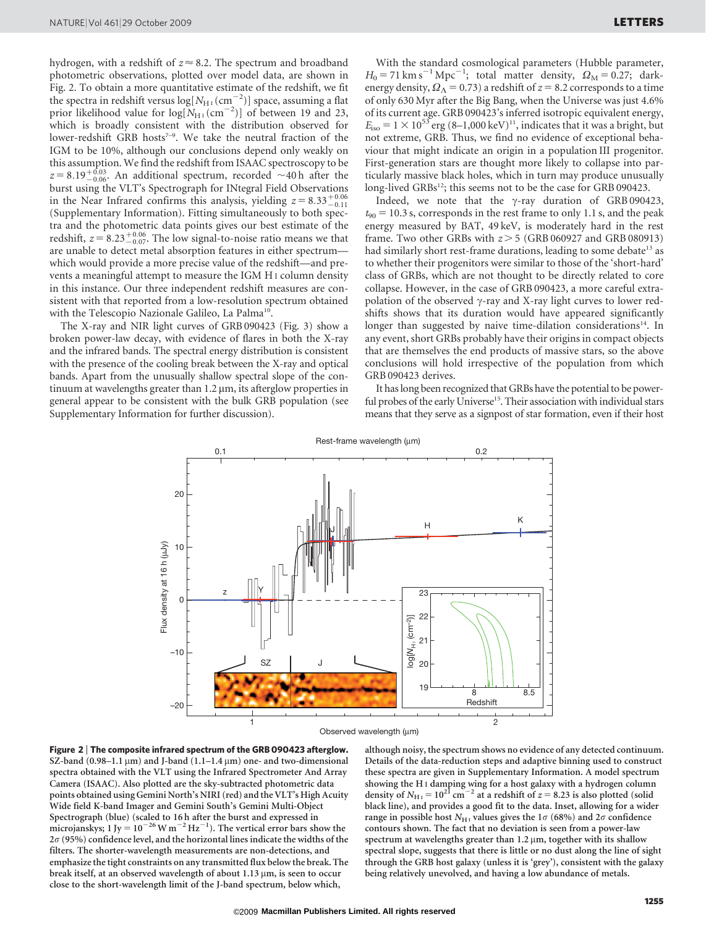hydrogen, with a redshift of  $z \approx 8.2$ . The spectrum and broadband photometric observations, plotted over model data, are shown in Fig. 2. To obtain a more quantitative estimate of the redshift, we fit the spectra in redshift versus  $\log[N_{\text{H}_1}(\text{cm}_2^{-2})]$  space, assuming a flat prior likelihood value for  $log[N_{\text{H$\textsc{1}$}}(\text{cm}^{-2})]$  of between 19 and 23, which is broadly consistent with the distribution observed for lower-redshift GRB hosts<sup>7-9</sup>. We take the neutral fraction of the IGM to be 10%, although our conclusions depend only weakly on this assumption. We find the redshift from ISAAC spectroscopy to be  $z = 8.19^{+0.03}_{-0.06}$ . An additional spectrum, recorded  $\sim$  40 h after the burst using the VLT's Spectrograph for INtegral Field Observations in the Near Infrared confirms this analysis, yielding  $z = 8.33^{+0.06}_{-0.11}$ (Supplementary Information). Fitting simultaneously to both spectra and the photometric data points gives our best estimate of the redshift,  $z = 8.23^{+0.06}_{-0.07}$ . The low signal-to-noise ratio means we that are unable to detect metal absorption features in either spectrum which would provide a more precise value of the redshift—and prevents a meaningful attempt to measure the IGM H I column density in this instance. Our three independent redshift measures are consistent with that reported from a low-resolution spectrum obtained with the Telescopio Nazionale Galileo, La Palma<sup>10</sup>

The X-ray and NIR light curves of GRB 090423 (Fig. 3) show a broken power-law decay, with evidence of flares in both the X-ray and the infrared bands. The spectral energy distribution is consistent with the presence of the cooling break between the X-ray and optical bands. Apart from the unusually shallow spectral slope of the continuum at wavelengths greater than  $1.2 \mu m$ , its afterglow properties in general appear to be consistent with the bulk GRB population (see Supplementary Information for further discussion).

With the standard cosmological parameters (Hubble parameter,  $H_0 = 71 \text{ km s}^{-1} \text{ Mpc}^{-1}$ ; total matter density,  $\Omega_\text{M} = 0.27$ ; darkenergy density,  $\Omega_{\Lambda} = 0.73$ ) a redshift of  $z = 8.2$  corresponds to a time of only 630 Myr after the Big Bang, when the Universe was just 4.6% of its current age. GRB 090423's inferred isotropic equivalent energy,  $E_{\text{iso}} = 1 \times 10^{53}$  erg (8–1,000 keV)<sup>11</sup>, indicates that it was a bright, but not extreme, GRB. Thus, we find no evidence of exceptional behaviour that might indicate an origin in a population III progenitor. First-generation stars are thought more likely to collapse into particularly massive black holes, which in turn may produce unusually long-lived GRBs<sup>12</sup>; this seems not to be the case for GRB 090423.

Indeed, we note that the  $\gamma$ -ray duration of GRB 090423,  $t_{90} = 10.3$  s, corresponds in the rest frame to only 1.1 s, and the peak energy measured by BAT, 49 keV, is moderately hard in the rest frame. Two other GRBs with  $z > 5$  (GRB 060927 and GRB 080913) had similarly short rest-frame durations, leading to some debate<sup>13</sup> as to whether their progenitors were similar to those of the 'short-hard' class of GRBs, which are not thought to be directly related to core collapse. However, in the case of GRB 090423, a more careful extrapolation of the observed  $\gamma$ -ray and X-ray light curves to lower redshifts shows that its duration would have appeared significantly longer than suggested by naive time-dilation considerations<sup>14</sup>. In any event, short GRBs probably have their origins in compact objects that are themselves the end products of massive stars, so the above conclusions will hold irrespective of the population from which GRB 090423 derives.

It has long been recognized that GRBs have the potential to be powerful probes of the early Universe<sup>15</sup>. Their association with individual stars means that they serve as a signpost of star formation, even if their host





although noisy, the spectrum shows no evidence of any detected continuum. Details of the data-reduction steps and adaptive binning used to construct these spectra are given in Supplementary Information. A model spectrum showing the H I damping wing for a host galaxy with a hydrogen column density of  $N_{\text{H I}} = 10^{21} \text{ cm}^{-2}$  at a redshift of  $z = 8.23$  is also plotted (solid black line), and provides a good fit to the data. Inset, allowing for a wider range in possible host  $N_{\text{H}1}$  values gives the 1 $\sigma$  (68%) and 2 $\sigma$  confidence contours shown. The fact that no deviation is seen from a power-law spectrum at wavelengths greater than  $1.2 \mu m$ , together with its shallow spectral slope, suggests that there is little or no dust along the line of sight through the GRB host galaxy (unless it is 'grey'), consistent with the galaxy being relatively unevolved, and having a low abundance of metals.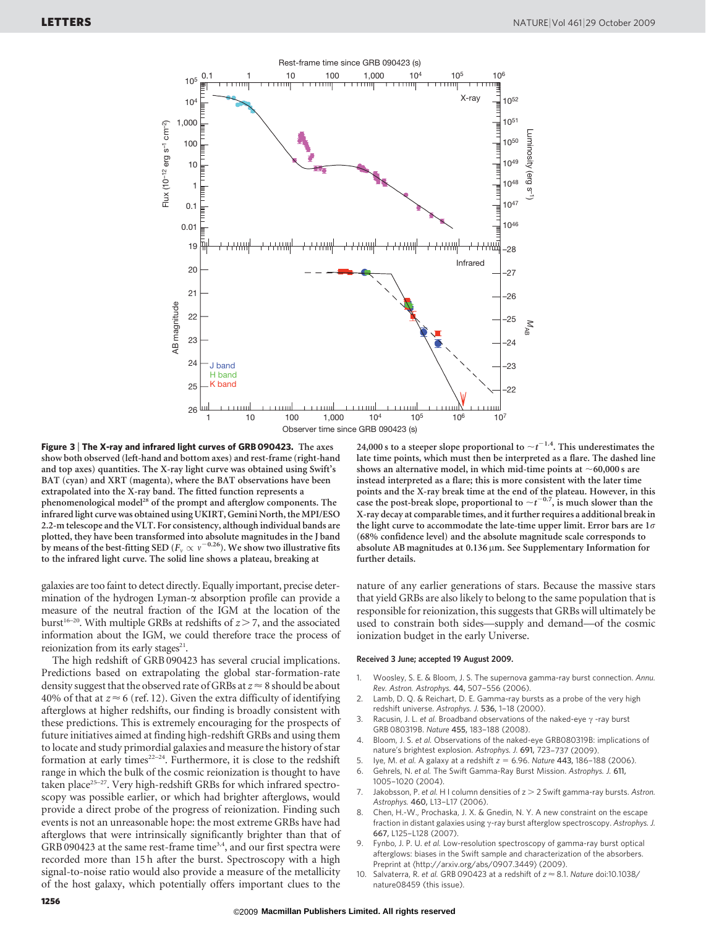

Figure 3 <sup>|</sup> The X-ray and infrared light curves of GRB 090423. The axes show both observed (left-hand and bottom axes) and rest-frame (right-hand and top axes) quantities. The X-ray light curve was obtained using Swift's BAT (cyan) and XRT (magenta), where the BAT observations have been extrapolated into the X-ray band. The fitted function represents a phenomenological model<sup>28</sup> of the prompt and afterglow components. The infrared light curve was obtained using UKIRT, Gemini North, the MPI/ESO 2.2-m telescope and the VLT. For consistency, although individual bands are plotted, they have been transformed into absolute magnitudes in the J band by means of the best-fitting SED ( $F_\nu \propto \nu^{-0.26}$ ). We show two illustrative fits to the infrared light curve. The solid line shows a plateau, breaking at

galaxies are too faint to detect directly. Equally important, precise determination of the hydrogen Lyman- $\alpha$  absorption profile can provide a measure of the neutral fraction of the IGM at the location of the burst<sup>16–20</sup>. With multiple GRBs at redshifts of  $z > 7$ , and the associated information about the IGM, we could therefore trace the process of reionization from its early stages $21$ .

The high redshift of GRB 090423 has several crucial implications. Predictions based on extrapolating the global star-formation-rate density suggest that the observed rate of GRBs at  $z \approx 8$  should be about 40% of that at  $z \approx 6$  (ref. 12). Given the extra difficulty of identifying afterglows at higher redshifts, our finding is broadly consistent with these predictions. This is extremely encouraging for the prospects of future initiatives aimed at finding high-redshift GRBs and using them to locate and study primordial galaxies and measure the history of star formation at early times<sup>22-24</sup>. Furthermore, it is close to the redshift range in which the bulk of the cosmic reionization is thought to have taken place<sup>25-27</sup>. Very high-redshift GRBs for which infrared spectroscopy was possible earlier, or which had brighter afterglows, would provide a direct probe of the progress of reionization. Finding such events is not an unreasonable hope: the most extreme GRBs have had afterglows that were intrinsically significantly brighter than that of GRB 090423 at the same rest-frame time<sup>3,4</sup>, and our first spectra were recorded more than 15 h after the burst. Spectroscopy with a high signal-to-noise ratio would also provide a measure of the metallicity of the host galaxy, which potentially offers important clues to the 24,000 s to a steeper slope proportional to  $\sim t^{-1.4}$ . This underestimates the late time points, which must then be interpreted as a flare. The dashed line shows an alternative model, in which mid-time points at  $\sim$  60,000 s are instead interpreted as a flare; this is more consistent with the later time points and the X-ray break time at the end of the plateau. However, in this case the post-break slope, proportional to  $\sim t^{-0.7}$ , is much slower than the X-ray decay at comparable times, and it further requires a additional break in the light curve to accommodate the late-time upper limit. Error bars are  $1\sigma$ (68% confidence level) and the absolute magnitude scale corresponds to absolute AB magnitudes at 0.136 µm. See Supplementary Information for further details.

nature of any earlier generations of stars. Because the massive stars that yield GRBs are also likely to belong to the same population that is responsible for reionization, this suggests that GRBs will ultimately be used to constrain both sides—supply and demand—of the cosmic ionization budget in the early Universe.

## Received 3 June; accepted 19 August 2009.

- 1. Woosley, S. E. & Bloom, J. S. The supernova gamma-ray burst connection. Annu. Rev. Astron. Astrophys. 44, 507–556 (2006).
- 2. Lamb, D. Q. & Reichart, D. E. Gamma-ray bursts as a probe of the very high redshift universe. Astrophys. J. 536, 1–18 (2000).
- 3. Racusin, J. L. et al. Broadband observations of the naked-eye  $\gamma$  -ray burst GRB 080319B. Nature 455, 183–188 (2008).
- 4. Bloom, J. S. et al. Observations of the naked-eye GRB080319B: implications of nature's brightest explosion. Astrophys. J. 691, 723–737 (2009).
- 5. Iye, M. et al. A galaxy at a redshift  $z = 6.96$ . Nature 443, 186–188 (2006).
- 6. Gehrels, N. et al. The Swift Gamma-Ray Burst Mission. Astrophys. J. 611, 1005–1020 (2004).
- 7. Jakobsson, P. et al. H I column densities of  $z > 2$  Swift gamma-ray bursts. Astron. Astrophys. 460, L13-L17 (2006)
- Chen, H.-W., Prochaska, J. X. & Gnedin, N. Y. A new constraint on the escape fraction in distant galaxies using  $\gamma$ -ray burst afterglow spectroscopy. Astrophys. J. 667, L125–L128 (2007).
- Fynbo, J. P. U. et al. Low-resolution spectroscopy of gamma-ray burst optical afterglows: biases in the Swift sample and characterization of the absorbers. Preprint at  $\langle$ <http://arxiv.org/abs/0907.3449>) (2009).
- Salvaterra, R. et al. GRB 090423 at a redshift of  $z \approx 8.1$ . Nature doi:10.1038/ nature08459 (this issue).